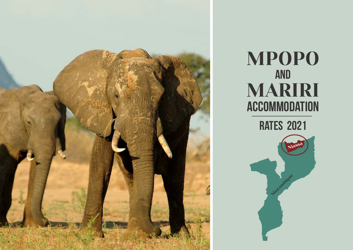

# **MPOPO** AND MARIRI ACCOMMODATION rates 2021

Mozambique

Niass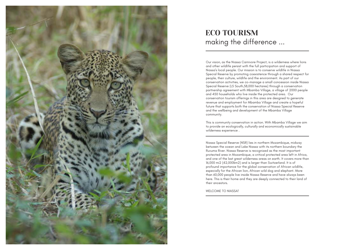

## ECO TOURISM making the difference ...

Our vision, as the Niassa Carnivore Project, is a wilderness where lions and other wildlife persist with the full participation and support of Niassa's local people. Our mission is to conserve wildlife in Niassa Special Reserve by promoting coexistence through a shared respect for people, their culture, wildlife and the environment. As part of our conservation activities, we co-manage a small concession inside Niassa Special Reserve (L5 South,58,000 hectares) through a conservation partnership agreement with Mbamba Village, a village of 2000 people and 450 households who live inside the protected area. Our conservation tourism offerings in this area are designed to generate revenue and employment for Mbamba Village and create a hopeful future that supports both the conservation of Niassa Special Reserve and the wellbeing and development of the Mbamba Village community.

This is community conservation in action. With Mbamba Village we aim to provide an ecologically, culturally and economically sustainable wilderness experience .

Niassa Special Reserve (NSR) lies in northern Mozambique, midway between the ocean and Lake Niassa with its northern boundary the Ruvuma River. Niassa Reserve is recognized as the most important protected area in Mozambique, a critical protected area left in Africa, and one of the last great wilderness areas on earth. It covers more than 16,000 mi2 (42,000km2) and is larger than Switzerland. It is of profound importance for the global conservation of African wildlife, especially for the African lion, African wild dog and elephant. More than 60,000 people live inside Niassa Reserve and have always been here. This is their home and they are deeply connected to their land of their ancestors.

WELCOME TO NIASSA!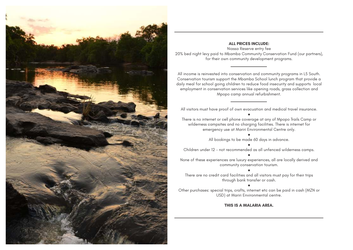

## **ALL PRICES INCLUDE:**

Niassa Reserve entry fee 20% bed night levy paid to Mbamba Community Conservation Fund (our partners), for their own community development programs.

All income is reinvested into conservation and community programs in L5 South. Conservation tourism support the Mbamba School lunch program that provide a daily meal for school going children to reduce food insecurity and supports local employment in conservation services like opening roads, grass collection and Mpopo camp annual refurbishment.

All visitors must have proof of own evacuation and medical travel insurance. ●

There is no internet or cell phone coverage at any of Mpopo Trails Camp or wilderness campsites and no charging facilities. There is internet for emergency use at Mariri Environmental Centre only. ●

All bookings to be made 60 days in advance.

● Children under 12 - not recommended as all unfenced wilderness camps. ●

None of these experiences are luxury experiences, all are locally derived and community conservation tourism.

● There are no credit card facilities and all visitors must pay for their trips through bank transfer or cash.

●

Other purchases: special trips, crafts, internet etc can be paid in cash (MZN or USD) at Mariri Environmental centre.

**THIS IS A MALARIA AREA.**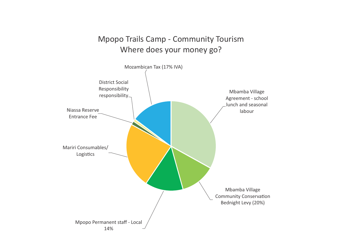# Mpopo Trails Camp - Community Tourism Where does your money go?

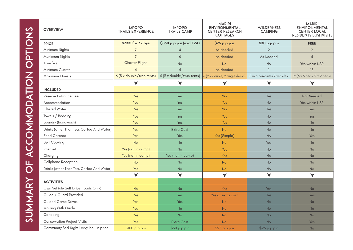| <b>OVERVIEW</b>                           | <b>MPOPO</b><br><b>TRAILS EXPERIENCE</b> | <b>MPOPO</b><br><b>TRAILS CAMP</b> | <b>MARIRI</b><br><b>ENVIRONMENTAL</b><br><b>CENTER RESEARCH</b><br><b>COTTAGES</b> | <b>WILDERNESS</b><br><b>CAMPING</b> | <b>MARIRI</b><br><b>ENVIRONMENTAL</b><br><b>CENTER LOCAL</b><br>RESIDENTS BUSHVISITS |
|-------------------------------------------|------------------------------------------|------------------------------------|------------------------------------------------------------------------------------|-------------------------------------|--------------------------------------------------------------------------------------|
| <b>PRICE</b>                              | \$7331 for 7 days                        | \$350 p.p.p.n (excl IVA)           | \$75 p.p.p.n                                                                       | \$30 p.p.p.n                        | <b>FREE</b>                                                                          |
| Minimum Nights                            | $\overline{7}$                           | $\overline{4}$                     | As Needed                                                                          | $\overline{2}$                      | $\overline{2}$                                                                       |
| Maximum Nights                            | $\overline{7}$                           | 6                                  | As Needed                                                                          | As Needed                           | $\overline{4}$                                                                       |
| Transfers                                 | <b>Charter Flight</b>                    | No                                 | <b>No</b>                                                                          | <b>No</b>                           | Yes within NSR                                                                       |
| Minimum Guests                            | $\overline{4}$                           | $\Delta$                           | As Needed                                                                          |                                     | 15                                                                                   |
| <b>Maximum Guests</b>                     | 6 (3 x double/twin tents)                | 6 (3 x double/twin tents)          | $6(2 \times \text{double}, 2 \text{ single deck})$                                 | 8 in a campsite/2 vehicles          | 19 (3 x 5 beds, 2 x 2 beds)                                                          |
|                                           | $\checkmark$                             | ✔                                  | $\checkmark$                                                                       | $\blacktriangledown$                | $\checkmark$                                                                         |
| <b>INCLUDED</b>                           |                                          |                                    |                                                                                    |                                     |                                                                                      |
| <b>Reserve Entrance Fee</b>               | Yes                                      | <b>Yes</b>                         | Yes                                                                                | Yes                                 | <b>Not Needed</b>                                                                    |
| Accommodation                             | Yes                                      | Yes                                | Yes                                                                                | <b>No</b>                           | Yes within NSR                                                                       |
| <b>Filtered Water</b>                     | Yes                                      | <b>Yes</b>                         | Yes                                                                                | Yes                                 | <b>Yes</b>                                                                           |
| Towels / Bedding                          | Yes                                      | <b>Yes</b>                         | Yes                                                                                | <b>No</b>                           | Yes                                                                                  |
| Laundry (handwash)                        | Yes                                      | Yes                                | Yes                                                                                | No                                  | No                                                                                   |
| Drinks (other Than Tea, Coffee And Water) | Yes                                      | <b>Extra Cost</b>                  | <b>No</b>                                                                          | <b>No</b>                           | <b>No</b>                                                                            |
| <b>Food Catered</b>                       | Yes                                      | Yes                                | Yes (Simple)                                                                       | <b>No</b>                           | Yes                                                                                  |
| Self Cooking                              | <b>No</b>                                | <b>No</b>                          | <b>No</b>                                                                          | Yes                                 | <b>No</b>                                                                            |
| Internet                                  | Yes (not in camp)                        | <b>No</b>                          | Yes                                                                                | <b>No</b>                           | <b>No</b>                                                                            |
| Charging                                  | Yes (not in camp)                        | Yes (not in camp)                  | Yes                                                                                | <b>No</b>                           | <b>No</b>                                                                            |
| Cellphone Reception                       | <b>No</b>                                | No                                 | <b>No</b>                                                                          | <b>No</b>                           | <b>No</b>                                                                            |
| Drinks (other Than Tea, Coffee And Water) | Yes                                      | <b>No</b>                          | <b>No</b>                                                                          | <b>No</b>                           | No                                                                                   |
|                                           | $\checkmark$                             | $\checkmark$                       | $\checkmark$                                                                       | $\checkmark$                        | ✔                                                                                    |
| <b>ACTIVITIES</b>                         |                                          |                                    |                                                                                    |                                     |                                                                                      |
| Own Vehicle Self Drive (roads Only)       | <b>No</b>                                | <b>No</b>                          | <b>Yes</b>                                                                         | Yes                                 | <b>No</b>                                                                            |
| Guide / Guard Provided                    | Yes                                      | Yes                                | Yes at extra cost                                                                  | Yes                                 | Yes                                                                                  |
| <b>Guided Game Drives</b>                 | Yes                                      | <b>Yes</b>                         | <b>No</b>                                                                          | <b>No</b>                           | <b>No</b>                                                                            |
| Walking With Guide                        | <b>Yes</b>                               | <b>No</b>                          | <b>No</b>                                                                          | <b>No</b>                           | <b>No</b>                                                                            |
| Canoeing                                  | Yes                                      | <b>No</b>                          | <b>No</b>                                                                          | <b>No</b>                           | <b>No</b>                                                                            |
| <b>Conservation Project Visits</b>        | Yes                                      | <b>Extra Cost</b>                  | <b>No</b>                                                                          | <b>No</b>                           | <b>Yes</b>                                                                           |
| Community Bed Night Levvy Incl. in price  | \$100 p.p.p.n                            | \$50 p.p.p.n                       | \$25 p.p.p.n                                                                       | \$25 p.p.p.n                        | No                                                                                   |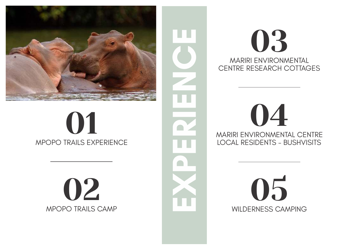

# 01 2 MARIAN MPOPO TRAILS EXPERIENCE

02 MPOPO TRAILS CAMP



03 MARIRI ENVIRONMENTAL CENTRE RESEARCH COTTAGES

MARIRI ENVIRONMENTAL CENTRE LOCAL RESIDENTS - BUSHVISITS

> 05 WILDERNESS CAMPING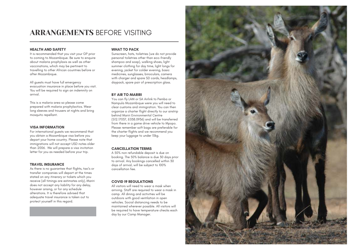## ARRANGEMENTS BEFORE VISITING

#### **HEALTH AND SAFETY**

It is recommended that you visit your GP prior to coming to Mozambique. Be sure to enquire about malaria prophylaxis as well as other vaccinations, which may be pertinent to travelling to other African countries before or after Mozambique.

All guests must have full emergency evacuation insurance in place before you visit. You will be required to sign an indemnity on arrival.

This is a malaria area so please come prepared with malaria prophylactics. Wear long sleeves and trousers at nights and bring mosquito repellant.

#### **VISA INFORMATION**

For international guests we recommend that you obtain a Mozambique visa before you depart your home country. Please note that immigrations will not accept USD notes older than 2006. We will prepare a visa invitation letter for you as needed before your trip.

### **TRAVEL INSURANCE**

As there is no guarantee that flights, taxi's or transfer companies will depart at the times stated on any itinerary or tickets which you receive (all timings are estimates only), Mariri does not accept any liability for any delay, however arising, or for any schedule alterations. It is therefore advised that adequate travel insurance is taken out to protect yourself in this regard.

#### **WHAT TO PACK**

Sunscreen, hats, toiletries (we do not provide personal toiletries other than eco-friendly shampoo and soap), walking shoes, light summer clothing for day time, light longs for evening, jacket for colder evening, basic medicines, sunglasses, binoculars, camera with charger and spare SD cards, headlamps, daypack, spare pair of prescription glass.

### **BY AIR TO MARIRI**

You can fly LAM or SA Airlink to Pemba or Nampula Mozambique were you will need to clear customs and immigration. You can then organize a charter flight directly to our airstrip behind Mariri Environmental Centre (S12.17037, E038.0936) and will be transferred from there in a game drive vehicle to Mpopo. Please remember soft bags are preferable for the charter flights and we recommend you keep your luggage to under 15kg.

## **CANCELLATION TERMS**

A 50% non refundable deposit is due on booking. The 50% balance is due 30 days prior to arrival. Any bookings cancelled within 30 days of arrival, will be subject to 100% cancellation fee.

## **COVID 19 REGULATIONS**

All visitors will need to wear a mask when arriving. Staff are required to wear a mask in camp. All dining and activities will be outdoors with good ventilation in open vehicles. Social distancing needs to be maintained wherever possible. All visitors will be required to have temperature checks each day by our Camp Manager.

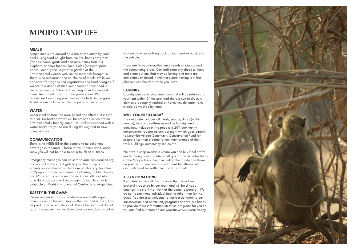## MPOPO CAMP LIFE

## **MEALS**

Simple meals are cooked on a fire at the camp by local cooks using food bought from our livelihoods programs (rabbits, ducks, goats and chickens, honey from our elephant-beehive fences), local fields (cassava, peas, beans), our organic vegetable garden at the Environmental Centre with limited materials brought in. There is no restaurant and no choice of meals. While we can cater for vegans and vegetarians and food allergies if we are told ahead of time, our access to fresh food is limited as we are 12 hours drive away from the nearest town. We cannot cater for food preferences. We recommend you bring your own snacks to fill in the gaps. All drinks are included within the price within reason.

### **WATER**

Water is taken from the river, boiled and filtered. It is safe to drink. No bottled water will be provided as we are an environmentally friendly camp. You will be provided with a water bottle for you to use during the day and to take home with you.

## **COMMUNICATION**

There is no INTERNET at the camp and no cellphone coverage in the area. Please let your family and friends know you will not be able to be in touch at all times.

Emergency messages can be sent to admin@niassalion.org and we will make sure it gets to you. The camp is run entirely on solar lanterns. There are no charging facilities at Mpopo but video and camera batteries, mobile phones and iPods (etc.) can be recharged in our office at Mariri on a daily basis and will be brought to you. Internet is available at Mariri Environmental Centre for emergencies.

## **SAFETY IN THE CAMP**

Please remember this is a wilderness area with large animals, crocodiles and hippo in the river and buffalo, lion, leopard, hyaena and elephant. Please be alert and do not go off by yourself, you must be accompanied by a scout or your guide when walking back to your deck or outside of the vehicle.

There are "creepy-crawlies" and insects at Mpopo and in the surrounding areas. Our staff regularly check all tents and clean out any that may be lurking and tents are completely enclosed in the mosquitoe netting tent but please close the door when you leave.

## **LAUNDRY**

Laundry can be washed each day and will be returned to your tent within 24 hrs provided there is sun to dry it. All clothes are roughly washed by hand. Any delicate items should be washed by hand.

## **WILL YOU NEED CASH?**

The daily rate includes all meals, snacks, drinks (within reason), teas and coffees as well as laundry, and activities. Included in the price is a 20% community conservation fee per person per night which goes directly to Mbamba Village Community Conservation Fund for projects like their electric fence, maintenance of their well, buildings, community scouts etc.

We have a shop available where you can buy local crafts made through our Kushirika craft group. This includes items at the Mpopo Trails Camp including the handmade throw on your bed. There are no credit card facilities so all accounts must be settled in cash (USD or MT).

## **TIPS & DONATIONS**

If you feel you would like to give a tip, this will be gratefully received by our team and will be divided amongst the staff that work at the camp (6 people). We do not recommend individual tipping other than for the guide. You are also welcome to make a donation to our conservation and community programs and we are happy to provide more information on these programs for you or you can find out more on our website www.niassalion.org.

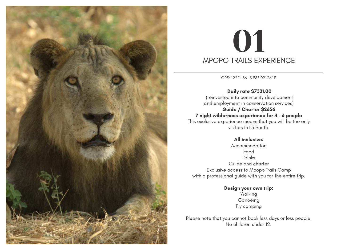

# 01 MPOPO TRAILS EXPERIENCE

GPS: 12° 11' 36" S 38° 09' 26" E

 **Daily rate \$7331.00** (reinvested into community development and employment in conservation services) **Guide / Charter \$2656 7 night wilderness experience for 4 - 6 people** This exclusive experience means that you will be the only visitors in L5 South.

**All inclusive:** Accommodation Food Drinks Guide and charter Exclusive access to Mpopo Trails Camp with a professional guide with you for the entire trip.

> **Design your own trip:**  Walking Canoeing Fly camping

Please note that you cannot book less days or less people. No children under 12.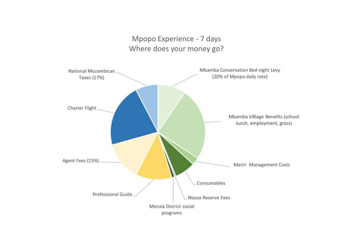## Mpopo Experience - 7 days Where does your money go?

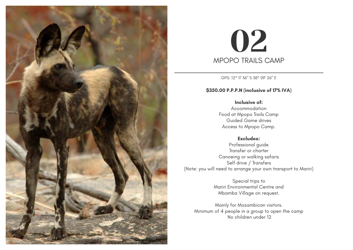

# 02 MPOPO TRAILS CAMP

GPS: 12° 11' 36" S 38° 09' 26" E

## **\$350.00 P.P.P.N (inclusive of 17% IVA)**

**Inclusive of:** Accommodation Food at Mpopo Trails Camp Guided Game drives Access to Mpopo Camp.

## **Excludes:**

Professional guide Transfer or charter Canoeing or walking safaris Self drive / Transfers (Note: you will need to arrange your own transport to Mariri)

> Special trips to Mariri Environmental Centre and Mbamba Village on request.

Mainly for Mozambican visitors. Minimum of 4 people in a group to open the camp No children under 12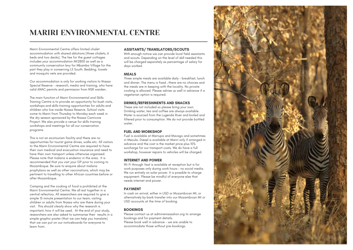## MARIRI ENVIRONMENTAL CENTRE

Mariri Environmental Centre offers limited chalet accommodation with shared ablutions (three chalets, 6 beds and two decks). The fee for the guest cottages includes your accommodation Mt2800 as well as a community conservation levy for Mbamba Village for the part they play in conserving L5 South. Bedding, towels and mosquito nets are provided.

Our accommodation is only for working visitors to Niassa Special Reserve - research, media and training, who have valid ANAC permits and permission from NSR warden.

The main function of Mariri Environmental and Skills Training Centre is to provide an opportunity for bush visits, workshops and skills training opportunities for adults and children who live inside Niassa Reserve. School visits come to Mariri from Thursday to Monday each week in the dry season sponsored by the Niassa Carnivore Project. We also provide a venue for skills training workshops and meetings for all our conservation programs

This is not an ecotourism facility and there are no opportunities for tourist game drives, walks etc. All visitors to the Mariri Environmental Centre are required to have their own medical and evacuation insurance and need to have their own transport unless otherwise organised. Please note that malaria is endemic in the area. It is recommended that you visit your GP prior to coming to Mozambique. Be sure to enquire about malaria prophylaxis as well as other vaccinations, which may be pertinent to travelling to other African countries before or after Mozambique.

Camping and the cooking of food is prohibited at the Mariri Environmental Centre. We all eat together in a central refectory. All researchers are required to give a simple 15 minute presentation to our team, visiting children or adults from Niassa who are there during your visit. This should clearly show why the research is important, how it will be used. At the end of your study, researchers are also asked to summarise their results in a simple graphic poster (that we can help you translate) that we can put on our noticeboards for everyone to learn from.

### **ASSITANTS/ TRANSLATORS/SCOUTS**

With enough notice we can provide local field assistants and scouts. Depending on the level of skill needed this will be charged separately as percentage of salary for days worked.

#### **MEALS**

Three simple meals are available daily - breakfast, lunch and dinner. The menu is fixed , there are no choices and the meals are in keeping with the locality. No private cooking is allowed. Please advise us well in advance if a vegetarian option is required.

#### **DRINKS/REFRESHMENTS AND SNACKS**

These are not included so please bring your own. Drinking water, tea and coffee are always available. Water is sourced from the Lugenda River and boiled and filtered prior to consumption. We do not provide bottled water.

### **FUEL AND WORKSHOP**

Fuel is available at Marrupa and Mavago and sometimes in Mecula. Diesel is available at Mariri only if arranged in advance and the cost is the market price plus 10% surcharge for our transport costs. We do have a full workshop, however repairs to vehicles will be charged.

### **INTERNET AND POWER**

Wi-Fi through Vsat is available at reception but is for work purposes only during work hours – no social media. We run entirely on solar power. It is possible to charge equipment. Please be mindful of everyone else that needs internet and power.

#### **PAYMENT**

In cash on arrival, either in USD or Mozambican Mt, or alternatively by bank transfer into our Mozambican Mt or USD accounts at the time of booking.

#### **BOOKINGS**

Please contact us at admin@niassalion.org to arrange bookings and for payment details. Please book well in advance – we are unable to accommodate those without pre-bookings.

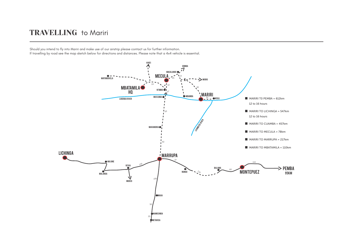## TRAVELLING to Mariri

Should you intend to fly into Mariri and make use of our airstrip please contact us for further information.

If travelling by road see the map sketch below for directions and distances. Please note that a 4x4 vehicle is essential.

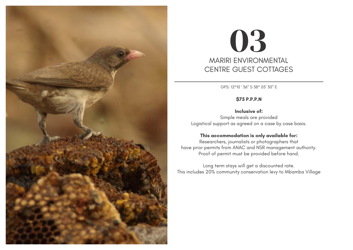

# 03 MARIRI ENVIRONMENTAL CENTRE GUEST COTTAGES

GPS: 12°10 ' 36" S 38° 05' 30" E

## **\$75 P.P.P.N**

## **Inclusive of:**

Simple meals are provided Logistical support as agreed on a case by case basis.

## **This accommodation is only available for:**

Researchers, journalists or photographers that have prior permits from ANAC and NSR management authority. Proof of permit must be provided before hand.

Long term stays will get a discounted rate. This includes 20% community conservation levy to Mbamba Village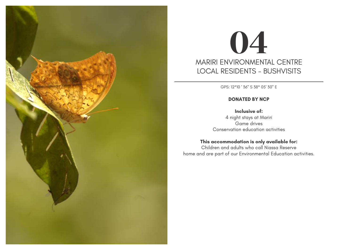

# 04 MARIRI ENVIRONMENTAL CENTRE LOCAL RESIDENTS - BUSHVISITS

GPS: 12°10 ' 36" S 38° 05' 30" E

## **DONATED BY NCP**

## **Inclusive of:**

4 night stays at Mariri Game drives Conservation education activities

## **This accommodation is only available for:**

Children and adults who call Niassa Reserve home and are part of our Environmental Education activities.